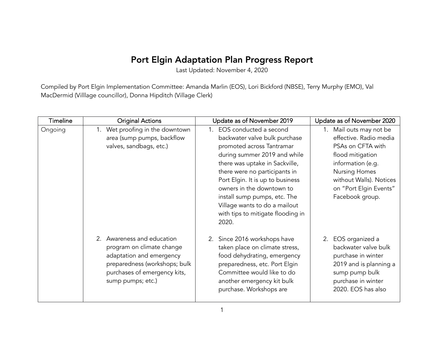## Port Elgin Adaptation Plan Progress Report

Last Updated: November 4, 2020

Compiled by Port Elgin Implementation Committee: Amanda Marlin (EOS), Lori Bickford (NBSE), Terry Murphy (EMO), Val MacDermid (Villlage councillor), Donna Hipditch (Village Clerk)

| <b>Timeline</b> | <b>Original Actions</b>                                                                                                                                                   | Update as of November 2019                                                                                                                                                                                                                                                                                                                                                 | Update as of November 2020                                                                                                                                                                                      |
|-----------------|---------------------------------------------------------------------------------------------------------------------------------------------------------------------------|----------------------------------------------------------------------------------------------------------------------------------------------------------------------------------------------------------------------------------------------------------------------------------------------------------------------------------------------------------------------------|-----------------------------------------------------------------------------------------------------------------------------------------------------------------------------------------------------------------|
| Ongoing         | 1. Wet proofing in the downtown<br>area (sump pumps, backflow<br>valves, sandbags, etc.)                                                                                  | 1. EOS conducted a second<br>backwater valve bulk purchase<br>promoted across Tantramar<br>during summer 2019 and while<br>there was uptake in Sackville,<br>there were no participants in<br>Port Elgin. It is up to business<br>owners in the downtown to<br>install sump pumps, etc. The<br>Village wants to do a mailout<br>with tips to mitigate flooding in<br>2020. | 1. Mail outs may not be<br>effective. Radio media<br>PSAs on CFTA with<br>flood mitigation<br>information (e.g.<br><b>Nursing Homes</b><br>without Walls). Notices<br>on "Port Elgin Events"<br>Facebook group. |
|                 | 2. Awareness and education<br>program on climate change<br>adaptation and emergency<br>preparedness (workshops; bulk<br>purchases of emergency kits,<br>sump pumps; etc.) | 2. Since 2016 workshops have<br>taken place on climate stress,<br>food dehydrating, emergency<br>preparedness, etc. Port Elgin<br>Committee would like to do<br>another emergency kit bulk<br>purchase. Workshops are                                                                                                                                                      | 2. EOS organized a<br>backwater valve bulk<br>purchase in winter<br>2019 and is planning a<br>sump pump bulk<br>purchase in winter<br>2020. EOS has also                                                        |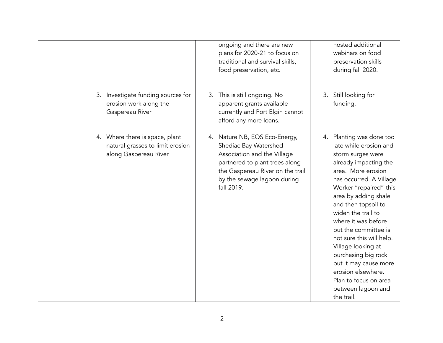|                                                                                             | hosted additional<br>ongoing and there are new<br>plans for 2020-21 to focus on<br>webinars on food<br>traditional and survival skills,<br>preservation skills<br>food preservation, etc.<br>during fall 2020.                                                                                                                                                                                                                                                                                                                                                                                                                                                                                   |
|---------------------------------------------------------------------------------------------|--------------------------------------------------------------------------------------------------------------------------------------------------------------------------------------------------------------------------------------------------------------------------------------------------------------------------------------------------------------------------------------------------------------------------------------------------------------------------------------------------------------------------------------------------------------------------------------------------------------------------------------------------------------------------------------------------|
| 3. Investigate funding sources for<br>erosion work along the<br>Gaspereau River             | 3. This is still ongoing. No<br>Still looking for<br>3.<br>apparent grants available<br>funding.<br>currently and Port Elgin cannot<br>afford any more loans.                                                                                                                                                                                                                                                                                                                                                                                                                                                                                                                                    |
| 4. Where there is space, plant<br>natural grasses to limit erosion<br>along Gaspereau River | 4. Nature NB, EOS Eco-Energy,<br>4. Planting was done too<br>late while erosion and<br>Shediac Bay Watershed<br>Association and the Village<br>storm surges were<br>partnered to plant trees along<br>already impacting the<br>the Gaspereau River on the trail<br>area. More erosion<br>by the sewage lagoon during<br>has occurred. A Village<br>fall 2019.<br>Worker "repaired" this<br>area by adding shale<br>and then topsoil to<br>widen the trail to<br>where it was before<br>but the committee is<br>not sure this will help.<br>Village looking at<br>purchasing big rock<br>but it may cause more<br>erosion elsewhere.<br>Plan to focus on area<br>between lagoon and<br>the trail. |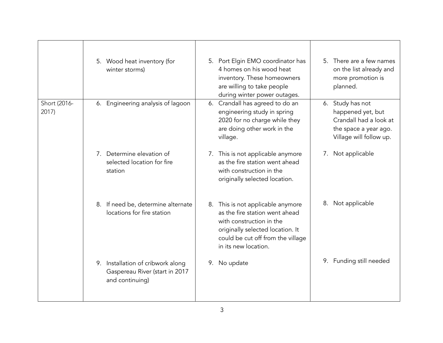|                       | 5. Wood heat inventory (for<br>winter storms)                                          | 5. Port Elgin EMO coordinator has<br>4 homes on his wood heat<br>inventory. These homeowners<br>are willing to take people<br>during winter power outages.                                       | 5. There are a few names<br>on the list already and<br>more promotion is<br>planned.                                |
|-----------------------|----------------------------------------------------------------------------------------|--------------------------------------------------------------------------------------------------------------------------------------------------------------------------------------------------|---------------------------------------------------------------------------------------------------------------------|
| Short (2016-<br>2017) | 6. Engineering analysis of lagoon                                                      | 6. Crandall has agreed to do an<br>engineering study in spring<br>2020 for no charge while they<br>are doing other work in the<br>village.                                                       | 6. Study has not<br>happened yet, but<br>Crandall had a look at<br>the space a year ago.<br>Village will follow up. |
|                       | 7. Determine elevation of<br>selected location for fire<br>station                     | 7. This is not applicable anymore<br>as the fire station went ahead<br>with construction in the<br>originally selected location.                                                                 | Not applicable<br>7.                                                                                                |
|                       | 8. If need be, determine alternate<br>locations for fire station                       | 8. This is not applicable anymore<br>as the fire station went ahead<br>with construction in the<br>originally selected location. It<br>could be cut off from the village<br>in its new location. | 8. Not applicable                                                                                                   |
|                       | 9. Installation of cribwork along<br>Gaspereau River (start in 2017<br>and continuing) | No update<br>9.                                                                                                                                                                                  | 9. Funding still needed                                                                                             |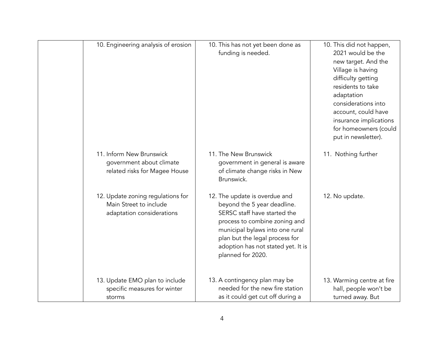| 10. Engineering analysis of erosion                                                      | 10. This has not yet been done as<br>funding is needed.                                                                                                                                                                                                       | 10. This did not happen,<br>2021 would be the<br>new target. And the<br>Village is having<br>difficulty getting<br>residents to take<br>adaptation<br>considerations into<br>account, could have<br>insurance implications<br>for homeowners (could<br>put in newsletter). |
|------------------------------------------------------------------------------------------|---------------------------------------------------------------------------------------------------------------------------------------------------------------------------------------------------------------------------------------------------------------|----------------------------------------------------------------------------------------------------------------------------------------------------------------------------------------------------------------------------------------------------------------------------|
| 11. Inform New Brunswick<br>government about climate<br>related risks for Magee House    | 11. The New Brunswick<br>government in general is aware<br>of climate change risks in New<br>Brunswick.                                                                                                                                                       | 11. Nothing further                                                                                                                                                                                                                                                        |
| 12. Update zoning regulations for<br>Main Street to include<br>adaptation considerations | 12. The update is overdue and<br>beyond the 5 year deadline.<br>SERSC staff have started the<br>process to combine zoning and<br>municipal bylaws into one rural<br>plan but the legal process for<br>adoption has not stated yet. It is<br>planned for 2020. | 12. No update.                                                                                                                                                                                                                                                             |
| 13. Update EMO plan to include<br>specific measures for winter<br>storms                 | 13. A contingency plan may be<br>needed for the new fire station<br>as it could get cut off during a                                                                                                                                                          | 13. Warming centre at fire<br>hall, people won't be<br>turned away. But                                                                                                                                                                                                    |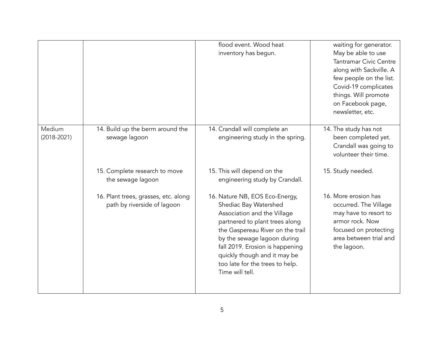|                           |                                                                     | flood event. Wood heat<br>inventory has begun.                                                                                                                                                                                                                                                                       | waiting for generator.<br>May be able to use<br><b>Tantramar Civic Centre</b><br>along with Sackville. A<br>few people on the list.<br>Covid-19 complicates<br>things. Will promote<br>on Facebook page,<br>newsletter, etc. |
|---------------------------|---------------------------------------------------------------------|----------------------------------------------------------------------------------------------------------------------------------------------------------------------------------------------------------------------------------------------------------------------------------------------------------------------|------------------------------------------------------------------------------------------------------------------------------------------------------------------------------------------------------------------------------|
| Medium<br>$(2018 - 2021)$ | 14. Build up the berm around the<br>sewage lagoon                   | 14. Crandall will complete an<br>engineering study in the spring.                                                                                                                                                                                                                                                    | 14. The study has not<br>been completed yet.<br>Crandall was going to<br>volunteer their time.                                                                                                                               |
|                           | 15. Complete research to move<br>the sewage lagoon                  | 15. This will depend on the<br>engineering study by Crandall.                                                                                                                                                                                                                                                        | 15. Study needed.                                                                                                                                                                                                            |
|                           | 16. Plant trees, grasses, etc. along<br>path by riverside of lagoon | 16. Nature NB, EOS Eco-Energy,<br>Shediac Bay Watershed<br>Association and the Village<br>partnered to plant trees along<br>the Gaspereau River on the trail<br>by the sewage lagoon during<br>fall 2019. Erosion is happening<br>quickly though and it may be<br>too late for the trees to help.<br>Time will tell. | 16. More erosion has<br>occurred. The Village<br>may have to resort to<br>armor rock. Now<br>focused on protecting<br>area between trial and<br>the lagoon.                                                                  |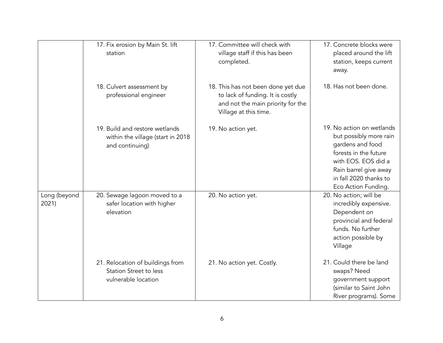|                       | 17. Fix erosion by Main St. lift<br>station                                              | 17. Committee will check with<br>village staff if this has been<br>completed.                                                        | 17. Concrete blocks were<br>placed around the lift<br>station, keeps current<br>away.                                                                                                             |
|-----------------------|------------------------------------------------------------------------------------------|--------------------------------------------------------------------------------------------------------------------------------------|---------------------------------------------------------------------------------------------------------------------------------------------------------------------------------------------------|
|                       | 18. Culvert assessment by<br>professional engineer                                       | 18. This has not been done yet due<br>to lack of funding. It is costly<br>and not the main priority for the<br>Village at this time. | 18. Has not been done.                                                                                                                                                                            |
|                       | 19. Build and restore wetlands<br>within the village (start in 2018<br>and continuing)   | 19. No action yet.                                                                                                                   | 19. No action on wetlands<br>but possibly more rain<br>gardens and food<br>forests in the future<br>with EOS. EOS did a<br>Rain barrel give away<br>in fall 2020 thanks to<br>Eco Action Funding. |
| Long (beyond<br>2021) | 20. Sewage lagoon moved to a<br>safer location with higher<br>elevation                  | 20. No action yet.                                                                                                                   | 20. No action; will be<br>incredibly expensive.<br>Dependent on<br>provincial and federal<br>funds. No further<br>action possible by<br>Village                                                   |
|                       | 21. Relocation of buildings from<br><b>Station Street to less</b><br>vulnerable location | 21. No action yet. Costly.                                                                                                           | 21. Could there be land<br>swaps? Need<br>government support<br>(similar to Saint John<br>River programs). Some                                                                                   |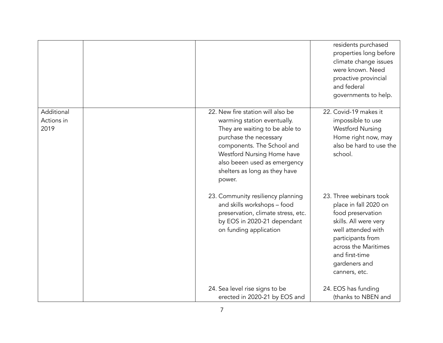|                                  |                                                                                                                                                                                                                                                                     | residents purchased<br>properties long before<br>climate change issues<br>were known. Need<br>proactive provincial<br>and federal<br>governments to help.                                                             |
|----------------------------------|---------------------------------------------------------------------------------------------------------------------------------------------------------------------------------------------------------------------------------------------------------------------|-----------------------------------------------------------------------------------------------------------------------------------------------------------------------------------------------------------------------|
| Additional<br>Actions in<br>2019 | 22. New fire station will also be<br>warming station eventually.<br>They are waiting to be able to<br>purchase the necessary<br>components. The School and<br>Westford Nursing Home have<br>also beeen used as emergency<br>shelters as long as they have<br>power. | 22. Covid-19 makes it<br>impossible to use<br><b>Westford Nursing</b><br>Home right now, may<br>also be hard to use the<br>school.                                                                                    |
|                                  | 23. Community resiliency planning<br>and skills workshops - food<br>preservation, climate stress, etc.<br>by EOS in 2020-21 dependant<br>on funding application                                                                                                     | 23. Three webinars took<br>place in fall 2020 on<br>food preservation<br>skills. All were very<br>well attended with<br>participants from<br>across the Maritimes<br>and first-time<br>gardeners and<br>canners, etc. |
|                                  | 24. Sea level rise signs to be<br>erected in 2020-21 by EOS and                                                                                                                                                                                                     | 24. EOS has funding<br>(thanks to NBEN and                                                                                                                                                                            |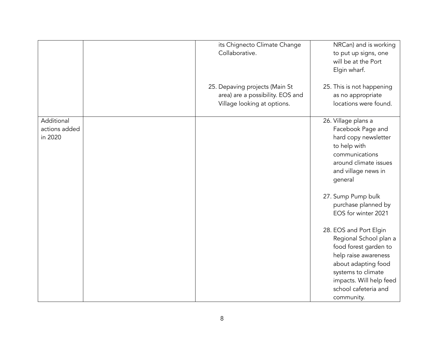|                                        | its Chignecto Climate Change<br>Collaborative.<br>25. Depaving projects (Main St<br>area) are a possibility. EOS and<br>Village looking at options. | NRCan) and is working<br>to put up signs, one<br>will be at the Port<br>Elgin wharf.<br>25. This is not happening<br>as no appropriate<br>locations were found.                                                 |
|----------------------------------------|-----------------------------------------------------------------------------------------------------------------------------------------------------|-----------------------------------------------------------------------------------------------------------------------------------------------------------------------------------------------------------------|
| Additional<br>actions added<br>in 2020 |                                                                                                                                                     | 26. Village plans a<br>Facebook Page and<br>hard copy newsletter<br>to help with<br>communications<br>around climate issues<br>and village news in<br>general                                                   |
|                                        |                                                                                                                                                     | 27. Sump Pump bulk<br>purchase planned by<br>EOS for winter 2021                                                                                                                                                |
|                                        |                                                                                                                                                     | 28. EOS and Port Elgin<br>Regional School plan a<br>food forest garden to<br>help raise awareness<br>about adapting food<br>systems to climate<br>impacts. Will help feed<br>school cafeteria and<br>community. |